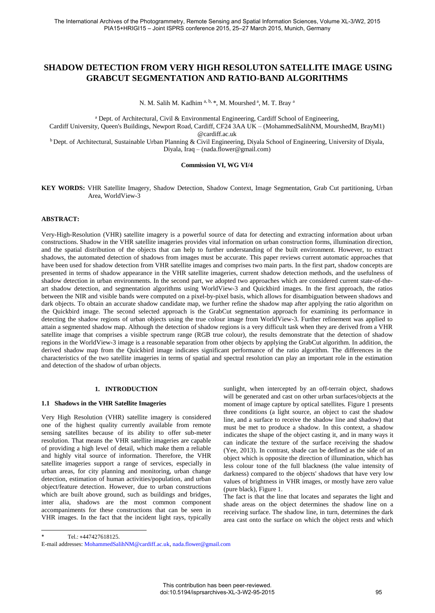# **SHADOW DETECTION FROM VERY HIGH RESOLUTON SATELLITE IMAGE USING GRABCUT SEGMENTATION AND RATIO-BAND ALGORITHMS**

N. M. Salih M. Kadhim<sup>a, b,</sup> \*, M. Mourshed<sup>a</sup>, M. T. Bray<sup>a</sup>

<sup>a</sup> Dept. of Architectural, Civil & Environmental Engineering, Cardiff School of Engineering,

Cardiff University, Queen's Buildings, Newport Road, Cardiff, CF24 3AA UK – (MohammedSalihNM, MourshedM, BrayM1) @cardiff.ac.uk

<sup>b</sup> Dept. of Architectural, Sustainable Urban Planning & Civil Engineering, Diyala School of Engineering, University of Diyala, Diyala, Iraq – (nada.flower@gmail.com)

#### **Commission VI, WG VI/4**

**KEY WORDS:** VHR Satellite Imagery, Shadow Detection, Shadow Context, Image Segmentation, Grab Cut partitioning, Urban Area, WorldView-3

## **ABSTRACT:**

Very-High-Resolution (VHR) satellite imagery is a powerful source of data for detecting and extracting information about urban constructions. Shadow in the VHR satellite imageries provides vital information on urban construction forms, illumination direction, and the spatial distribution of the objects that can help to further understanding of the built environment. However, to extract shadows, the automated detection of shadows from images must be accurate. This paper reviews current automatic approaches that have been used for shadow detection from VHR satellite images and comprises two main parts. In the first part, shadow concepts are presented in terms of shadow appearance in the VHR satellite imageries, current shadow detection methods, and the usefulness of shadow detection in urban environments. In the second part, we adopted two approaches which are considered current state-of-theart shadow detection, and segmentation algorithms using WorldView-3 and Quickbird images. In the first approach, the ratios between the NIR and visible bands were computed on a pixel-by-pixel basis, which allows for disambiguation between shadows and dark objects. To obtain an accurate shadow candidate map, we further refine the shadow map after applying the ratio algorithm on the Quickbird image. The second selected approach is the GrabCut segmentation approach for examining its performance in detecting the shadow regions of urban objects using the true colour image from WorldView-3. Further refinement was applied to attain a segmented shadow map. Although the detection of shadow regions is a very difficult task when they are derived from a VHR satellite image that comprises a visible spectrum range (RGB true colour), the results demonstrate that the detection of shadow regions in the WorldView-3 image is a reasonable separation from other objects by applying the GrabCut algorithm. In addition, the derived shadow map from the Quickbird image indicates significant performance of the ratio algorithm. The differences in the characteristics of the two satellite imageries in terms of spatial and spectral resolution can play an important role in the estimation and detection of the shadow of urban objects.

### **1. INTRODUCTION**

#### **1.1 Shadows in the VHR Satellite Imageries**

Very High Resolution (VHR) satellite imagery is considered one of the highest quality currently available from remote sensing satellites because of its ability to offer sub-meter resolution. That means the VHR satellite imageries are capable of providing a high level of detail, which make them a reliable and highly vital source of information. Therefore, the VHR satellite imageries support a range of services, especially in urban areas, for city planning and monitoring, urban change detection, estimation of human activities/population, and urban object/feature detection. However, due to urban constructions which are built above ground, such as buildings and bridges, inter alia, shadows are the most common component accompaniments for these constructions that can be seen in VHR images. In the fact that the incident light rays, typically

sunlight, when intercepted by an off-terrain object, shadows will be generated and cast on other urban surfaces/objects at the moment of image capture by optical satellites. Figure 1 presents three conditions (a light source, an object to cast the shadow line, and a surface to receive the shadow line and shadow) that must be met to produce a shadow. In this context, a shadow indicates the shape of the object casting it, and in many ways it can indicate the texture of the surface receiving the shadow (Yee, 2013). In contrast, shade can be defined as the side of an object which is opposite the direction of illumination, which has less colour tone of the full blackness (the value intensity of darkness) compared to the objects' shadows that have very low values of brightness in VHR images, or mostly have zero value (pure black), Figure 1.

The fact is that the line that locates and separates the light and shade areas on the object determines the shadow line on a receiving surface. The shadow line, in turn, determines the dark area cast onto the surface on which the object rests and which

Tel.: +447427618125.

 $\overline{a}$ 

E-mail addresses[: MohammedSalihNM@cardiff.ac.uk,](mailto:MohammedSalihNM@cardiff.ac.uk) [nada.flower@gmail.com](mailto:nada.flower@gmail.com)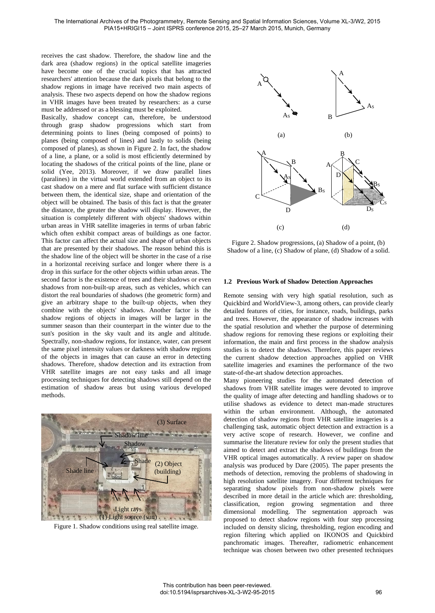receives the cast shadow. Therefore, the shadow line and the dark area (shadow regions) in the optical satellite imageries have become one of the crucial topics that has attracted researchers' attention because the dark pixels that belong to the shadow regions in image have received two main aspects of analysis. These two aspects depend on how the shadow regions in VHR images have been treated by researchers: as a curse must be addressed or as a blessing must be exploited.

Basically, shadow concept can, therefore, be understood through grasp shadow progressions which start from determining points to lines (being composed of points) to planes (being composed of lines) and lastly to solids (being composed of planes), as shown in Figure 2. In fact, the shadow of a line, a plane, or a solid is most efficiently determined by locating the shadows of the critical points of the line, plane or solid (Yee, 2013). Moreover, if we draw parallel lines (paralines) in the virtual world extended from an object to its cast shadow on a mere and flat surface with sufficient distance between them, the identical size, shape and orientation of the object will be obtained. The basis of this fact is that the greater the distance, the greater the shadow will display. However, the situation is completely different with objects' shadows within urban areas in VHR satellite imageries in terms of urban fabric which often exhibit compact areas of buildings as one factor. This factor can affect the actual size and shape of urban objects that are presented by their shadows. The reason behind this is the shadow line of the object will be shorter in the case of a rise in a horizontal receiving surface and longer where there is a drop in this surface for the other objects within urban areas. The second factor is the existence of trees and their shadows or even shadows from non-built-up areas, such as vehicles, which can distort the real boundaries of shadows (the geometric form) and give an arbitrary shape to the built-up objects, when they combine with the objects' shadows. Another factor is the shadow regions of objects in images will be larger in the summer season than their counterpart in the winter due to the sun's position in the sky vault and its angle and altitude. Spectrally, non-shadow regions, for instance, water, can present the same pixel intensity values or darkness with shadow regions of the objects in images that can cause an error in detecting shadows. Therefore, shadow detection and its extraction from VHR satellite images are not easy tasks and all image processing techniques for detecting shadows still depend on the estimation of shadow areas but using various developed methods.



Figure 1. Shadow conditions using real satellite image.



Figure 2. Shadow progressions, (a) Shadow of a point, (b) Shadow of a line, (c) Shadow of plane, (d) Shadow of a solid.

### **1.2 Previous Work of Shadow Detection Approaches**

Remote sensing with very high spatial resolution, such as Quickbird and WorldView-3, among others, can provide clearly detailed features of cities, for instance, roads, buildings, parks and trees. However, the appearance of shadow increases with the spatial resolution and whether the purpose of determining shadow regions for removing these regions or exploiting their information, the main and first process in the shadow analysis studies is to detect the shadows. Therefore, this paper reviews the current shadow detection approaches applied on VHR satellite imageries and examines the performance of the two state-of-the-art shadow detection approaches.

Many pioneering studies for the automated detection of shadows from VHR satellite images were devoted to improve the quality of image after detecting and handling shadows or to utilise shadows as evidence to detect man-made structures within the urban environment. Although, the automated detection of shadow regions from VHR satellite imageries is a challenging task, automatic object detection and extraction is a very active scope of research. However, we confine and summarise the literature review for only the present studies that aimed to detect and extract the shadows of buildings from the VHR optical images automatically. A review paper on shadow analysis was produced by Dare (2005). The paper presents the methods of detection, removing the problems of shadowing in high resolution satellite imagery. Four different techniques for separating shadow pixels from non-shadow pixels were described in more detail in the article which are: thresholding, classification, region growing segmentation and three dimensional modelling. The segmentation approach was proposed to detect shadow regions with four step processing included on density slicing, thresholding, region encoding and region filtering which applied on IKONOS and Quickbird panchromatic images. Thereafter, radiometric enhancement technique was chosen between two other presented techniques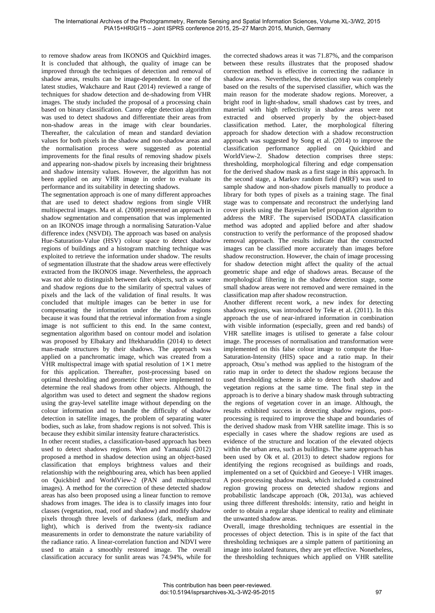to remove shadow areas from IKONOS and Quickbird images. It is concluded that although, the quality of image can be improved through the techniques of detection and removal of shadow areas, results can be image-dependent. In one of the latest studies, Wakchaure and Raut (2014) reviewed a range of techniques for shadow detection and de-shadowing from VHR images. The study included the proposal of a processing chain based on binary classification. Canny edge detection algorithm was used to detect shadows and differentiate their areas from non-shadow areas in the image with clear boundaries. Thereafter, the calculation of mean and standard deviation values for both pixels in the shadow and non-shadow areas and the normalisation process were suggested as potential improvements for the final results of removing shadow pixels and appearing non-shadow pixels by increasing their brightness and shadow intensity values. However, the algorithm has not been applied on any VHR image in order to evaluate its performance and its suitability in detecting shadows.

The segmentation approach is one of many different approaches that are used to detect shadow regions from single VHR multispectral images. Ma et al. (2008) presented an approach in shadow segmentation and compensation that was implemented on an IKONOS image through a normalising Saturation-Value difference index (NSVDI). The approach was based on analysis Hue-Saturation-Value (HSV) colour space to detect shadow regions of buildings and a histogram matching technique was exploited to retrieve the information under shadow. The results of segmentation illustrate that the shadow areas were effectively extracted from the IKONOS image. Nevertheless, the approach was not able to distinguish between dark objects, such as water and shadow regions due to the similarity of spectral values of pixels and the lack of the validation of final results. It was concluded that multiple images can be better in use for compensating the information under the shadow regions because it was found that the retrieval information from a single image is not sufficient to this end. In the same context, segmentation algorithm based on contour model and isolation was proposed by Elbakary and Iftekharuddin (2014) to detect man-made structures by their shadows. The approach was applied on a panchromatic image, which was created from a VHR multispectral image with spatial resolution of  $1 \times 1$  metre for this application. Thereafter, post-processing based on optimal thresholding and geometric filter were implemented to determine the real shadows from other objects. Although, the algorithm was used to detect and segment the shadow regions using the gray-level satellite image without depending on the colour information and to handle the difficulty of shadow detection in satellite images, the problem of separating water bodies, such as lake, from shadow regions is not solved. This is because they exhibit similar intensity feature characteristics.

In other recent studies, a classification-based approach has been used to detect shadows regions. Wen and Yamazaki (2012) proposed a method in shadow detection using an object-based classification that employs brightness values and their relationship with the neighbouring area, which has been applied on Quickbird and WorldView-2 (PAN and multispectral images). A method for the correction of these detected shadow areas has also been proposed using a linear function to remove shadows from images. The idea is to classify images into four classes (vegetation, road, roof and shadow) and modify shadow pixels through three levels of darkness (dark, medium and light), which is derived from the twenty-six radiance measurements in order to demonstrate the nature variability of the radiance ratio. A linear-correlation function and NDVI were used to attain a smoothly restored image. The overall classification accuracy for sunlit areas was 74.94%, while for the corrected shadows areas it was 71.87%, and the comparison between these results illustrates that the proposed shadow correction method is effective in correcting the radiance in shadow areas. Nevertheless, the detection step was completely based on the results of the supervised classifier, which was the main reason for the moderate shadow regions. Moreover, a bright roof in light-shadow, small shadows cast by trees, and material with high reflectivity in shadow areas were not extracted and observed properly by the object-based classification method. Later, the morphological filtering approach for shadow detection with a shadow reconstruction approach was suggested by Song et al. (2014) to improve the classification performance applied on Quickbird and WorldView-2. Shadow detection comprises three steps: thresholding, morphological filtering and edge compensation for the derived shadow mask as a first stage in this approach. In the second stage, a Markov random field (MRF) was used to sample shadow and non-shadow pixels manually to produce a library for both types of pixels as a training stage. The final stage was to compensate and reconstruct the underlying land cover pixels using the Bayesian belief propagation algorithm to address the MRF. The supervised ISODATA classification method was adopted and applied before and after shadow construction to verify the performance of the proposed shadow removal approach. The results indicate that the constructed images can be classified more accurately than images before shadow reconstruction. However, the chain of image processing for shadow detection might affect the quality of the actual geometric shape and edge of shadows areas. Because of the morphological filtering in the shadow detection stage, some small shadow areas were not removed and were remained in the classification map after shadow reconstruction.

Another different recent work, a new index for detecting shadows regions, was introduced by Teke et al. (2011). In this approach the use of near-infrared information in combination with visible information (especially, green and red bands) of VHR satellite images is utilised to generate a false colour image. The processes of normalisation and transformation were implemented on this false colour image to compute the Hue-Saturation-Intensity (HIS) space and a ratio map. In their approach, Otsu's method was applied to the histogram of the ratio map in order to detect the shadow regions because the used thresholding scheme is able to detect both shadow and vegetation regions at the same time. The final step in the approach is to derive a binary shadow mask through subtracting the regions of vegetation cover in an image. Although, the results exhibited success in detecting shadow regions, postprocessing is required to improve the shape and boundaries of the derived shadow mask from VHR satellite image. This is so especially in cases where the shadow regions are used as evidence of the structure and location of the elevated objects within the urban area, such as buildings. The same approach has been used by Ok et al. (2013) to detect shadow regions for identifying the regions recognised as buildings and roads, implemented on a set of Quickbird and Geoeye-1 VHR images. A post-processing shadow mask, which included a constrained region growing process on detected shadow regions and probabilistic landscape approach (Ok, 2013a), was achieved using three different thresholds: intensity, ratio and height in order to obtain a regular shape identical to reality and eliminate the unwanted shadow areas.

Overall, image thresholding techniques are essential in the processes of object detection. This is in spite of the fact that thresholding techniques are a simple pattern of partitioning an image into isolated features, they are yet effective. Nonetheless, the thresholding techniques which applied on VHR satellite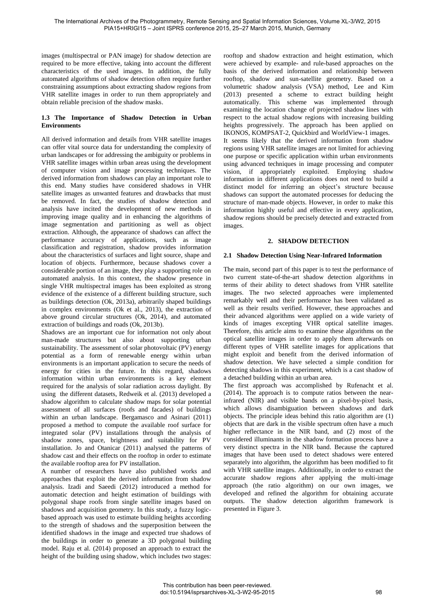images (multispectral or PAN image) for shadow detection are required to be more effective, taking into account the different characteristics of the used images. In addition, the fully automated algorithms of shadow detection often require further constraining assumptions about extracting shadow regions from VHR satellite images in order to run them appropriately and obtain reliable precision of the shadow masks.

## **1.3 The Importance of Shadow Detection in Urban Environments**

All derived information and details from VHR satellite images can offer vital source data for understanding the complexity of urban landscapes or for addressing the ambiguity or problems in VHR satellite images within urban areas using the development of computer vision and image processing techniques. The derived information from shadows can play an important role to this end. Many studies have considered shadows in VHR satellite images as unwanted features and drawbacks that must be removed. In fact, the studies of shadow detection and analysis have incited the development of new methods in improving image quality and in enhancing the algorithms of image segmentation and partitioning as well as object extraction. Although, the appearance of shadows can affect the performance accuracy of applications, such as image classification and registration, shadow provides information about the characteristics of surfaces and light source, shape and location of objects. Furthermore, because shadows cover a considerable portion of an image, they play a supporting role on automated analysis. In this context, the shadow presence in single VHR multispectral images has been exploited as strong evidence of the existence of a different building structure, such as buildings detection (Ok, 2013a), arbitrarily shaped buildings in complex environments (Ok et al., 2013), the extraction of above ground circular structures (Ok, 2014), and automated extraction of buildings and roads (Ok, 2013b).

Shadows are an important cue for information not only about man-made structures but also about supporting urban sustainability. The assessment of solar photovoltaic (PV) energy potential as a form of renewable energy within urban environments is an important application to secure the needs of energy for cities in the future. In this regard, shadows information within urban environments is a key element required for the analysis of solar radiation across daylight. By using the different datasets, Redweik et al. (2013) developed a shadow algorithm to calculate shadow maps for solar potential assessment of all surfaces (roofs and facades) of buildings within an urban landscape. Bergamasco and Asinari (2011) proposed a method to compute the available roof surface for integrated solar (PV) installations through the analysis of shadow zones, space, brightness and suitability for PV installation. Jo and Otanicar (2011) analysed the patterns of shadow cast and their effects on the rooftop in order to estimate the available rooftop area for PV installation.

A number of researchers have also published works and approaches that exploit the derived information from shadow analysis. Izadi and Saeedi (2012) introduced a method for automatic detection and height estimation of buildings with polygonal shape roofs from single satellite images based on shadows and acquisition geometry. In this study, a fuzzy logicbased approach was used to estimate building heights according to the strength of shadows and the superposition between the identified shadows in the image and expected true shadows of the buildings in order to generate a 3D polygonal building model. Raju et al. (2014) proposed an approach to extract the height of the building using shadow, which includes two stages:

rooftop and shadow extraction and height estimation, which were achieved by example- and rule-based approaches on the basis of the derived information and relationship between rooftop, shadow and sun-satellite geometry. Based on a volumetric shadow analysis (VSA) method, Lee and Kim (2013) presented a scheme to extract building height automatically. This scheme was implemented through examining the location change of projected shadow lines with respect to the actual shadow regions with increasing building heights progressively. The approach has been applied on IKONOS, KOMPSAT-2, Quickbird and WorldView-1 images. It seems likely that the derived information from shadow regions using VHR satellite images are not limited for achieving one purpose or specific application within urban environments using advanced techniques in image processing and computer vision, if appropriately exploited. Employing shadow information in different applications does not need to build a distinct model for inferring an object's structure because shadows can support the automated processes for deducing the structure of man-made objects. However, in order to make this information highly useful and effective in every application, shadow regions should be precisely detected and extracted from images.

## **2. SHADOW DETECTION**

## **2.1 Shadow Detection Using Near-Infrared Information**

The main, second part of this paper is to test the performance of two current state-of-the-art shadow detection algorithms in terms of their ability to detect shadows from VHR satellite images. The two selected approaches were implemented remarkably well and their performance has been validated as well as their results verified. However, these approaches and their advanced algorithms were applied on a wide variety of kinds of images excepting VHR optical satellite images. Therefore, this article aims to examine these algorithms on the optical satellite images in order to apply them afterwards on different types of VHR satellite images for applications that might exploit and benefit from the derived information of shadow detection. We have selected a simple condition for detecting shadows in this experiment, which is a cast shadow of a detached building within an urban area.

The first approach was accomplished by Rufenacht et al. (2014). The approach is to compute ratios between the nearinfrared (NIR) and visible bands on a pixel-by-pixel basis, which allows disambiguation between shadows and dark objects. The principle ideas behind this ratio algorithm are (1) objects that are dark in the visible spectrum often have a much higher reflectance in the NIR band, and (2) most of the considered illuminants in the shadow formation process have a very distinct spectra in the NIR band. Because the captured images that have been used to detect shadows were entered separately into algorithm, the algorithm has been modified to fit with VHR satellite images. Additionally, in order to extract the accurate shadow regions after applying the multi-image approach (the ratio algorithm) on our own images, we developed and refined the algorithm for obtaining accurate outputs. The shadow detection algorithm framework is presented in Figure 3.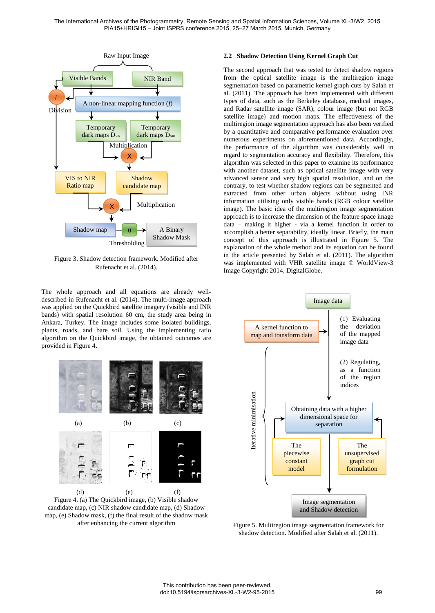

Figure 3. Shadow detection framework. Modified after Rufenacht et al. (2014).

The whole approach and all equations are already welldescribed in Rufenacht et al. (2014). The multi-image approach was applied on the Quickbird satellite imagery (visible and INR bands) with spatial resolution 60 cm, the study area being in Ankara, Turkey. The image includes some isolated buildings, plants, roads, and bare soil. Using the implementing ratio algorithm on the Quickbird image, the obtained outcomes are provided in Figure 4.



Figure 4. (a) The Quickbird image, (b) Visible shadow candidate map, (c) NIR shadow candidate map, (d) Shadow map, (e) Shadow mask, (f) the final result of the shadow mask after enhancing the current algorithm

## **2.2 Shadow Detection Using Kernel Graph Cut**

The second approach that was tested to detect shadow regions from the optical satellite image is the multiregion image segmentation based on parametric kernel graph cuts by Salah et al. (2011). The approach has been implemented with different types of data, such as the Berkeley database, medical images, and Radar satellite image (SAR), colour image (but not RGB satellite image) and motion maps. The effectiveness of the multiregion image segmentation approach has also been verified by a quantitative and comparative performance evaluation over numerous experiments on aforementioned data. Accordingly, the performance of the algorithm was considerably well in regard to segmentation accuracy and flexibility. Therefore, this algorithm was selected in this paper to examine its performance with another dataset, such as optical satellite image with very advanced sensor and very high spatial resolution, and on the contrary, to test whether shadow regions can be segmented and extracted from other urban objects without using INR information utilising only visible bands (RGB colour satellite image). The basic idea of the multiregion image segmentation approach is to increase the dimension of the feature space image data – making it higher - via a kernel function in order to accomplish a better separability, ideally linear. Briefly, the main concept of this approach is illustrated in Figure 5. The explanation of the whole method and its equation can be found in the article presented by Salah et al. (2011). The algorithm was implemented with VHR satellite image © WorldView-3 Image Copyright 2014, DigitalGlobe.



Figure 5. Multiregion image segmentation framework for shadow detection. Modified after Salah et al. (2011).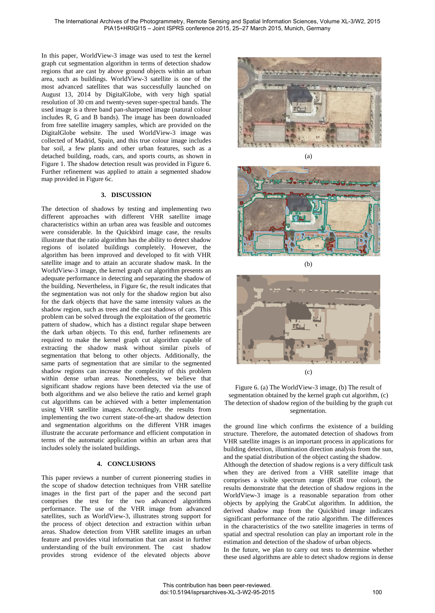In this paper, WorldView-3 image was used to test the kernel graph cut segmentation algorithm in terms of detection shadow regions that are cast by above ground objects within an urban area, such as buildings. WorldView-3 satellite is one of the most advanced satellites that was successfully launched on August 13, 2014 by DigitalGlobe, with very high spatial resolution of 30 cm and twenty-seven super-spectral bands. The used image is a three band pan-sharpened image (natural colour includes R, G and B bands). The image has been downloaded from free satellite imagery samples, which are provided on the DigitalGlobe website. The used WorldView-3 image was collected of Madrid, Spain, and this true colour image includes bar soil, a few plants and other urban features, such as a detached building, roads, cars, and sports courts, as shown in Figure 1. The shadow detection result was provided in Figure 6. Further refinement was applied to attain a segmented shadow map provided in Figure 6c.

## **3. DISCUSSION**

The detection of shadows by testing and implementing two different approaches with different VHR satellite image characteristics within an urban area was feasible and outcomes were considerable. In the Quickbird image case, the results illustrate that the ratio algorithm has the ability to detect shadow regions of isolated buildings completely. However, the algorithm has been improved and developed to fit with VHR satellite image and to attain an accurate shadow mask. In the WorldView-3 image, the kernel graph cut algorithm presents an adequate performance in detecting and separating the shadow of the building. Nevertheless, in Figure 6c, the result indicates that the segmentation was not only for the shadow region but also for the dark objects that have the same intensity values as the shadow region, such as trees and the cast shadows of cars. This problem can be solved through the exploitation of the geometric pattern of shadow, which has a distinct regular shape between the dark urban objects. To this end, further refinements are required to make the kernel graph cut algorithm capable of extracting the shadow mask without similar pixels of segmentation that belong to other objects. Additionally, the same parts of segmentation that are similar to the segmented shadow regions can increase the complexity of this problem within dense urban areas. Nonetheless, we believe that significant shadow regions have been detected via the use of both algorithms and we also believe the ratio and kernel graph cut algorithms can be achieved with a better implementation using VHR satellite images. Accordingly, the results from implementing the two current state-of-the-art shadow detection and segmentation algorithms on the different VHR images illustrate the accurate performance and efficient computation in terms of the automatic application within an urban area that includes solely the isolated buildings.

### **4. CONCLUSIONS**

This paper reviews a number of current pioneering studies in the scope of shadow detection techniques from VHR satellite images in the first part of the paper and the second part comprises the test for the two advanced algorithms performance. The use of the VHR image from advanced satellites, such as WorldView-3, illustrates strong support for the process of object detection and extraction within urban areas. Shadow detection from VHR satellite images an urban feature and provides vital information that can assist in further understanding of the built environment. The cast shadow provides strong evidence of the elevated objects above







(c)

Figure 6. (a) The WorldView-3 image, (b) The result of segmentation obtained by the kernel graph cut algorithm, (c) The detection of shadow region of the building by the graph cut segmentation.

the ground line which confirms the existence of a building structure. Therefore, the automated detection of shadows from VHR satellite images is an important process in applications for building detection, illumination direction analysis from the sun, and the spatial distribution of the object casting the shadow.

Although the detection of shadow regions is a very difficult task when they are derived from a VHR satellite image that comprises a visible spectrum range (RGB true colour), the results demonstrate that the detection of shadow regions in the WorldView-3 image is a reasonable separation from other objects by applying the GrabCut algorithm. In addition, the derived shadow map from the Quickbird image indicates significant performance of the ratio algorithm. The differences in the characteristics of the two satellite imageries in terms of spatial and spectral resolution can play an important role in the estimation and detection of the shadow of urban objects.

In the future, we plan to carry out tests to determine whether these used algorithms are able to detect shadow regions in dense